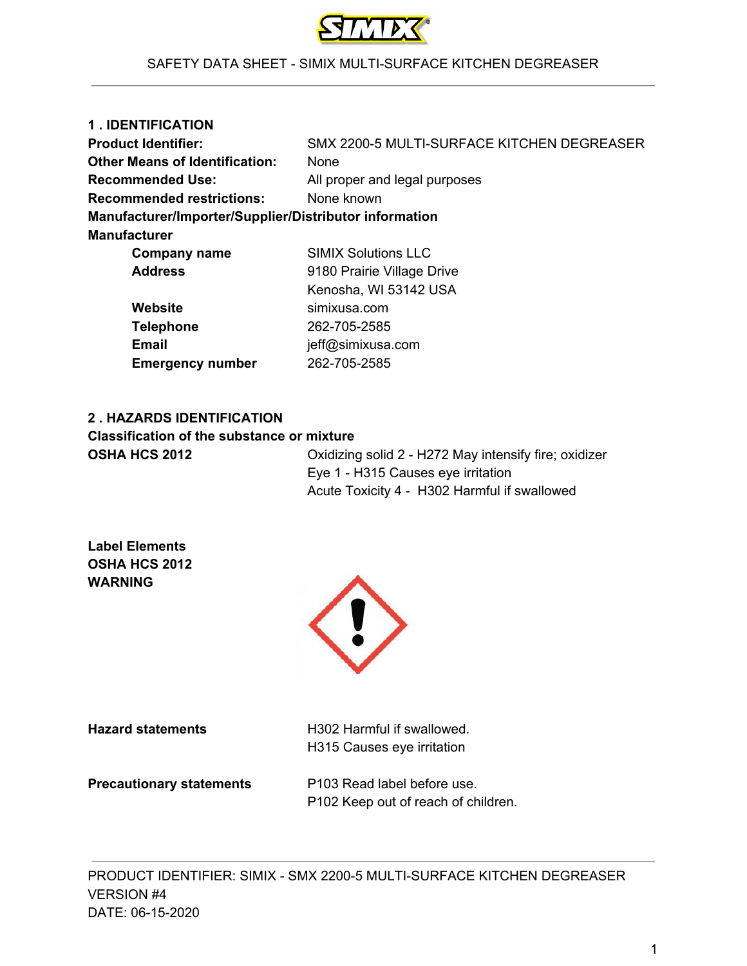

| 1. IDENTIFICATION                                      |                                            |
|--------------------------------------------------------|--------------------------------------------|
| <b>Product Identifier:</b>                             | SMX 2200-5 MULTI-SURFACE KITCHEN DEGREASER |
| <b>Other Means of Identification:</b>                  | None                                       |
| <b>Recommended Use:</b>                                | All proper and legal purposes              |
| <b>Recommended restrictions:</b>                       | None known                                 |
| Manufacturer/Importer/Supplier/Distributor information |                                            |
| <b>Manufacturer</b>                                    |                                            |
| <b>Company name</b>                                    | <b>SIMIX Solutions LLC</b>                 |
| <b>Address</b>                                         | 9180 Prairie Village Drive                 |
|                                                        | Kenosha, WI 53142 USA                      |
| Website                                                | simixusa.com                               |
| <b>Telephone</b>                                       | 262-705-2585                               |

# **2 . HAZARDS IDENTIFICATION Classification of the substance or mixture**

**Email** jeff@simixusa.com **Emergency number** 262-705-2585

**OSHA HCS 2012** Oxidizing solid 2 - H272 May intensify fire; oxidizer Eye 1 - H315 Causes eye irritation Acute Toxicity 4 - H302 Harmful if swallowed

**Label Elements OSHA HCS 2012 WARNING**



**Hazard statements H302 Harmful if swallowed.** H315 Causes eye irritation

**Precautionary statements** P103 Read label before use.

P102 Keep out of reach of children.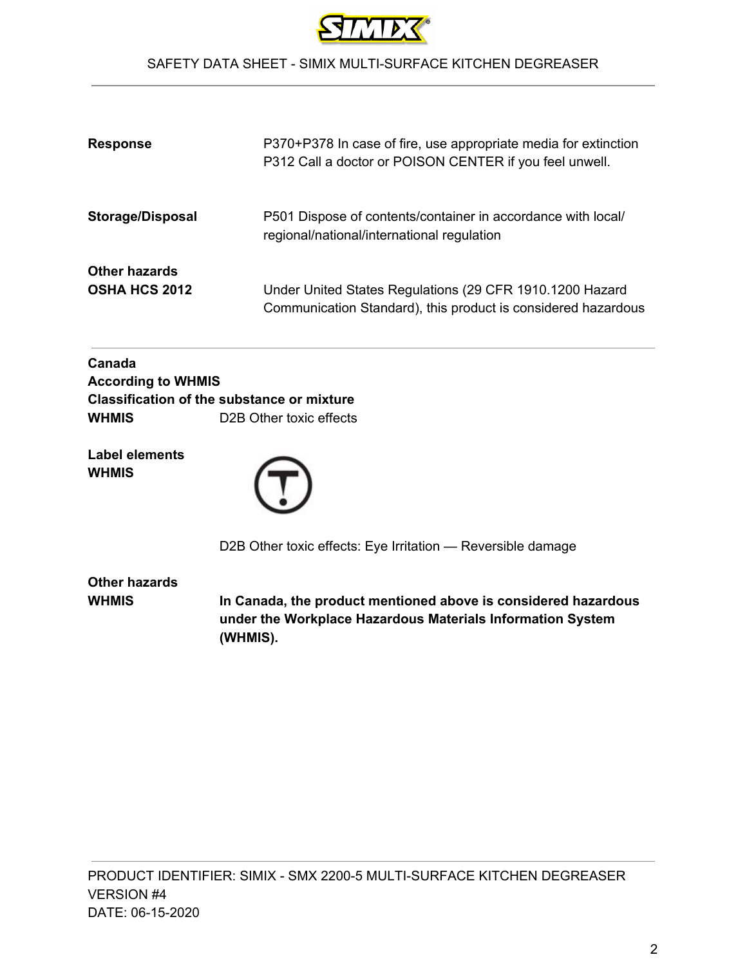

| <b>Response</b>                              | P370+P378 In case of fire, use appropriate media for extinction<br>P312 Call a doctor or POISON CENTER if you feel unwell. |
|----------------------------------------------|----------------------------------------------------------------------------------------------------------------------------|
| <b>Storage/Disposal</b>                      | P501 Dispose of contents/container in accordance with local/<br>regional/national/international regulation                 |
| <b>Other hazards</b><br><b>OSHA HCS 2012</b> | Under United States Regulations (29 CFR 1910.1200 Hazard<br>Communication Standard), this product is considered hazardous  |

| <b>According to WHMIS</b>                         |
|---------------------------------------------------|
| <b>Classification of the substance or mixture</b> |
| D <sub>2</sub> B Other toxic effects              |
|                                                   |

**Label elements WHMIS**



D2B Other toxic effects: Eye Irritation — Reversible damage

|       | Other hazards |
|-------|---------------|
| WHMIS |               |

**WHMIS In Canada, the product mentioned above is considered hazardous under the Workplace Hazardous Materials Information System (WHMIS).**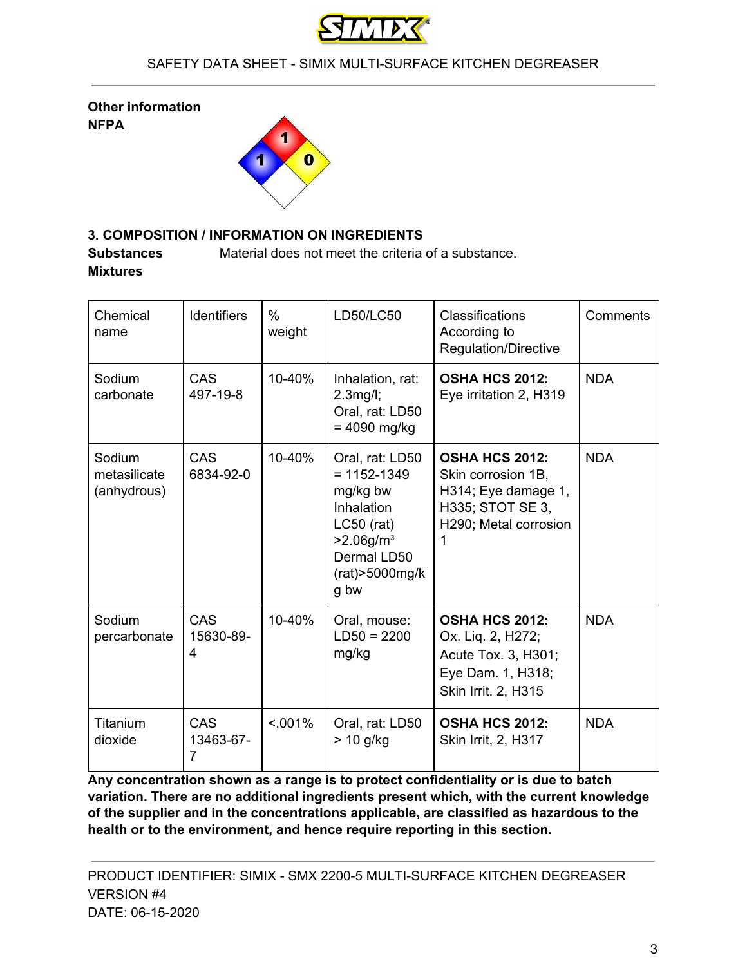

**Other information NFPA**



# **3. COMPOSITION / INFORMATION ON INGREDIENTS**

**Substances** Material does not meet the criteria of a substance. **Mixtures**

| Chemical<br>name                      | <b>Identifiers</b>           | $\%$<br>weight | LD50/LC50                                                                                                                                              | Classifications<br>According to<br>Regulation/Directive                                                              | Comments   |
|---------------------------------------|------------------------------|----------------|--------------------------------------------------------------------------------------------------------------------------------------------------------|----------------------------------------------------------------------------------------------------------------------|------------|
| Sodium<br>carbonate                   | <b>CAS</b><br>497-19-8       | 10-40%         | Inhalation, rat:<br>$2.3$ mg/l;<br>Oral, rat: LD50<br>$= 4090$ mg/kg                                                                                   | <b>OSHA HCS 2012:</b><br>Eye irritation 2, H319                                                                      | <b>NDA</b> |
| Sodium<br>metasilicate<br>(anhydrous) | <b>CAS</b><br>6834-92-0      | 10-40%         | Oral, rat: LD50<br>$= 1152 - 1349$<br>mg/kg bw<br>Inhalation<br>$LC50$ (rat)<br>$>2.06$ g/m <sup>3</sup><br>Dermal LD50<br>$(rat) > 5000$ mg/k<br>g bw | <b>OSHA HCS 2012:</b><br>Skin corrosion 1B,<br>H314; Eye damage 1,<br>H335; STOT SE 3,<br>H290; Metal corrosion<br>1 | <b>NDA</b> |
| Sodium<br>percarbonate                | CAS<br>15630-89-<br>4        | 10-40%         | Oral, mouse:<br>$LD50 = 2200$<br>mg/kg                                                                                                                 | <b>OSHA HCS 2012:</b><br>Ox. Liq. 2, H272;<br>Acute Tox. 3, H301;<br>Eye Dam. 1, H318;<br>Skin Irrit. 2, H315        | <b>NDA</b> |
| Titanium<br>dioxide                   | <b>CAS</b><br>13463-67-<br>7 | $< 0.01\%$     | Oral, rat: LD50<br>$> 10$ g/kg                                                                                                                         | <b>OSHA HCS 2012:</b><br><b>Skin Irrit, 2, H317</b>                                                                  | <b>NDA</b> |

**Any concentration shown as a range is to protect confidentiality or is due to batch variation. There are no additional ingredients present which, with the current knowledge of the supplier and in the concentrations applicable, are classified as hazardous to the health or to the environment, and hence require reporting in this section.**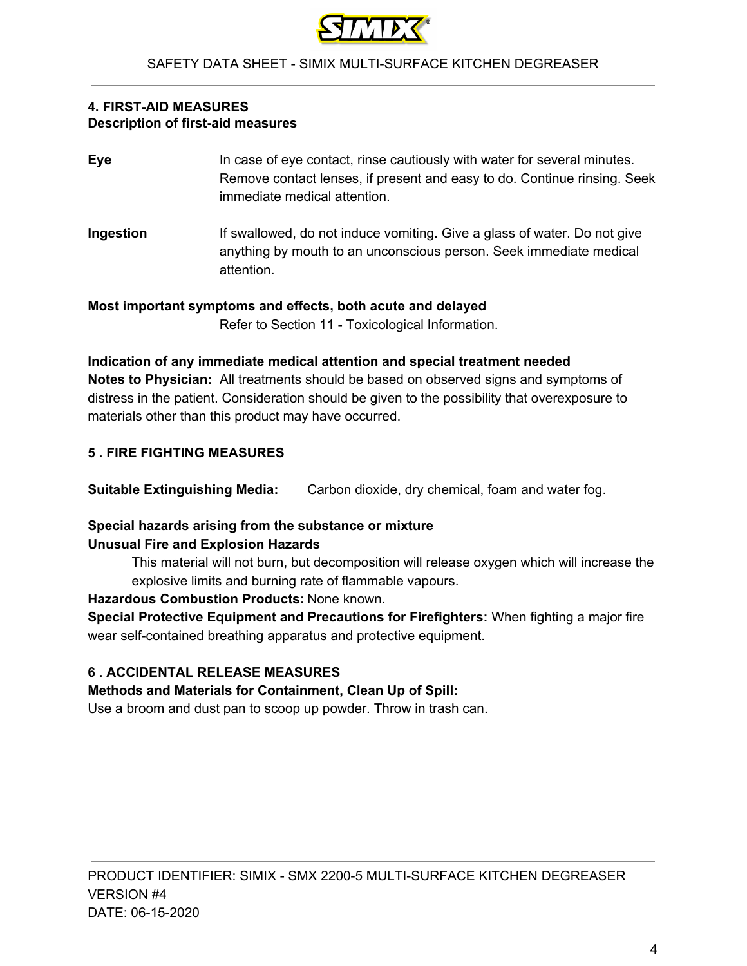

#### **4. FIRST-AID MEASURES Description of first-aid measures**

- **Eye** In case of eye contact, rinse cautiously with water for several minutes. Remove contact lenses, if present and easy to do. Continue rinsing. Seek immediate medical attention.
- **Ingestion** If swallowed, do not induce vomiting. Give a glass of water. Do not give anything by mouth to an unconscious person. Seek immediate medical attention.

**Most important symptoms and effects, both acute and delayed** Refer to Section 11 - Toxicological Information.

**Indication of any immediate medical attention and special treatment needed Notes to Physician:** All treatments should be based on observed signs and symptoms of distress in the patient. Consideration should be given to the possibility that overexposure to materials other than this product may have occurred.

# **5 . FIRE FIGHTING MEASURES**

**Suitable Extinguishing Media:** Carbon dioxide, dry chemical, foam and water fog.

## **Special hazards arising from the substance or mixture Unusual Fire and Explosion Hazards**

This material will not burn, but decomposition will release oxygen which will increase the explosive limits and burning rate of flammable vapours.

# **Hazardous Combustion Products:** None known.

**Special Protective Equipment and Precautions for Firefighters:** When fighting a major fire wear self-contained breathing apparatus and protective equipment.

# **6 . ACCIDENTAL RELEASE MEASURES**

# **Methods and Materials for Containment, Clean Up of Spill:**

Use a broom and dust pan to scoop up powder. Throw in trash can.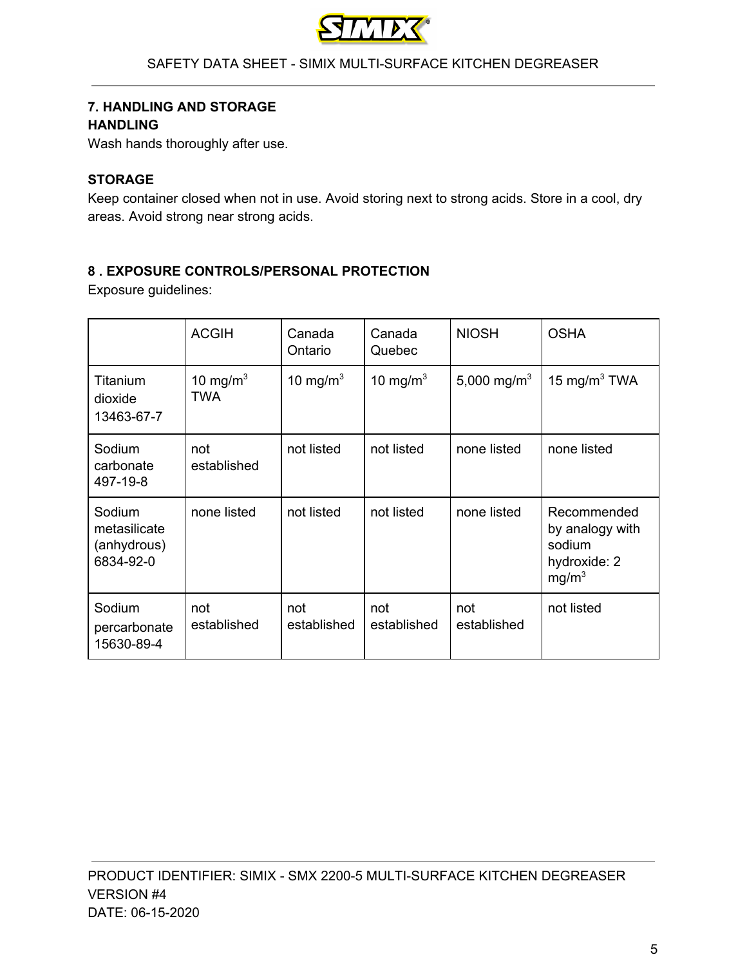

#### **7. HANDLING AND STORAGE HANDLING**

Wash hands thoroughly after use.

## **STORAGE**

Keep container closed when not in use. Avoid storing next to strong acids. Store in a cool, dry areas. Avoid strong near strong acids.

## **8 . EXPOSURE CONTROLS/PERSONAL PROTECTION**

Exposure guidelines:

|                                                    | <b>ACGIH</b>       | Canada<br>Ontario  | Canada<br>Quebec   | <b>NIOSH</b>            | <b>OSHA</b>                                                                   |
|----------------------------------------------------|--------------------|--------------------|--------------------|-------------------------|-------------------------------------------------------------------------------|
| Titanium<br>dioxide<br>13463-67-7                  | 10 mg/m $3$<br>TWA | 10 mg/m $3$        | 10 mg/m $3$        | 5,000 mg/m <sup>3</sup> | 15 mg/m $3$ TWA                                                               |
| Sodium<br>carbonate<br>497-19-8                    | not<br>established | not listed         | not listed         | none listed             | none listed                                                                   |
| Sodium<br>metasilicate<br>(anhydrous)<br>6834-92-0 | none listed        | not listed         | not listed         | none listed             | Recommended<br>by analogy with<br>sodium<br>hydroxide: 2<br>mg/m <sup>3</sup> |
| Sodium<br>percarbonate<br>15630-89-4               | not<br>established | not<br>established | not<br>established | not<br>established      | not listed                                                                    |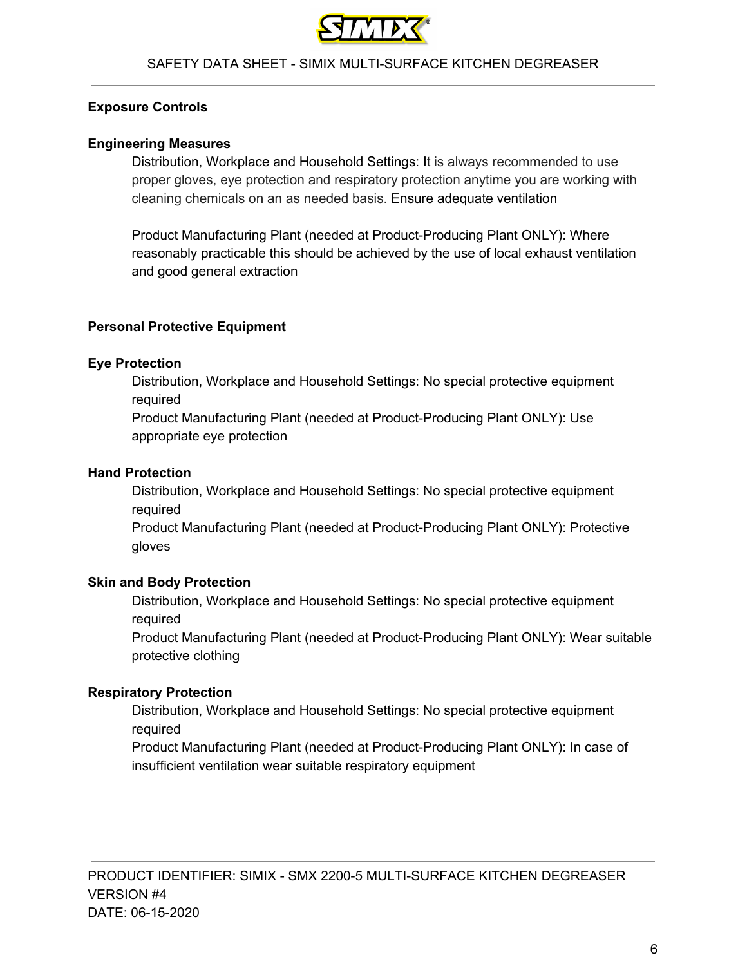

#### **Exposure Controls**

#### **Engineering Measures**

Distribution, Workplace and Household Settings: It is always recommended to use proper gloves, eye protection and respiratory protection anytime you are working with cleaning chemicals on an as needed basis. Ensure adequate ventilation

Product Manufacturing Plant (needed at Product-Producing Plant ONLY): Where reasonably practicable this should be achieved by the use of local exhaust ventilation and good general extraction

#### **Personal Protective Equipment**

#### **Eye Protection**

Distribution, Workplace and Household Settings: No special protective equipment required

Product Manufacturing Plant (needed at Product-Producing Plant ONLY): Use appropriate eye protection

#### **Hand Protection**

Distribution, Workplace and Household Settings: No special protective equipment required

Product Manufacturing Plant (needed at Product-Producing Plant ONLY): Protective gloves

#### **Skin and Body Protection**

Distribution, Workplace and Household Settings: No special protective equipment required

Product Manufacturing Plant (needed at Product-Producing Plant ONLY): Wear suitable protective clothing

#### **Respiratory Protection**

Distribution, Workplace and Household Settings: No special protective equipment required

Product Manufacturing Plant (needed at Product-Producing Plant ONLY): In case of insufficient ventilation wear suitable respiratory equipment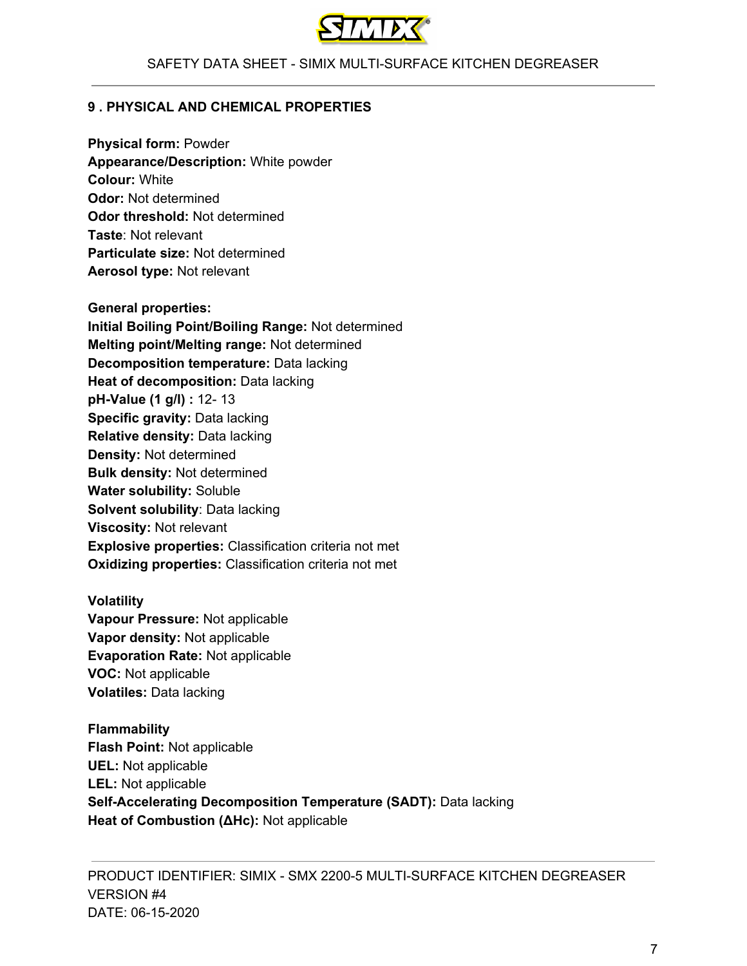

#### **9 . PHYSICAL AND CHEMICAL PROPERTIES**

**Physical form:** Powder **Appearance/Description:** White powder **Colour:** White **Odor:** Not determined **Odor threshold:** Not determined **Taste**: Not relevant **Particulate size:** Not determined **Aerosol type:** Not relevant

**General properties: Initial Boiling Point/Boiling Range:** Not determined **Melting point/Melting range:** Not determined **Decomposition temperature:** Data lacking **Heat of decomposition:** Data lacking **pH-Value (1 g/l) :** 12- 13 **Specific gravity:** Data lacking **Relative density:** Data lacking **Density:** Not determined **Bulk density:** Not determined **Water solubility:** Soluble **Solvent solubility**: Data lacking **Viscosity:** Not relevant **Explosive properties:** Classification criteria not met **Oxidizing properties:** Classification criteria not met

**Volatility Vapour Pressure:** Not applicable **Vapor density:** Not applicable **Evaporation Rate:** Not applicable **VOC:** Not applicable **Volatiles:** Data lacking

**Flammability Flash Point:** Not applicable **UEL:** Not applicable **LEL:** Not applicable **Self-Accelerating Decomposition Temperature (SADT):** Data lacking **Heat of Combustion (ΔHc):** Not applicable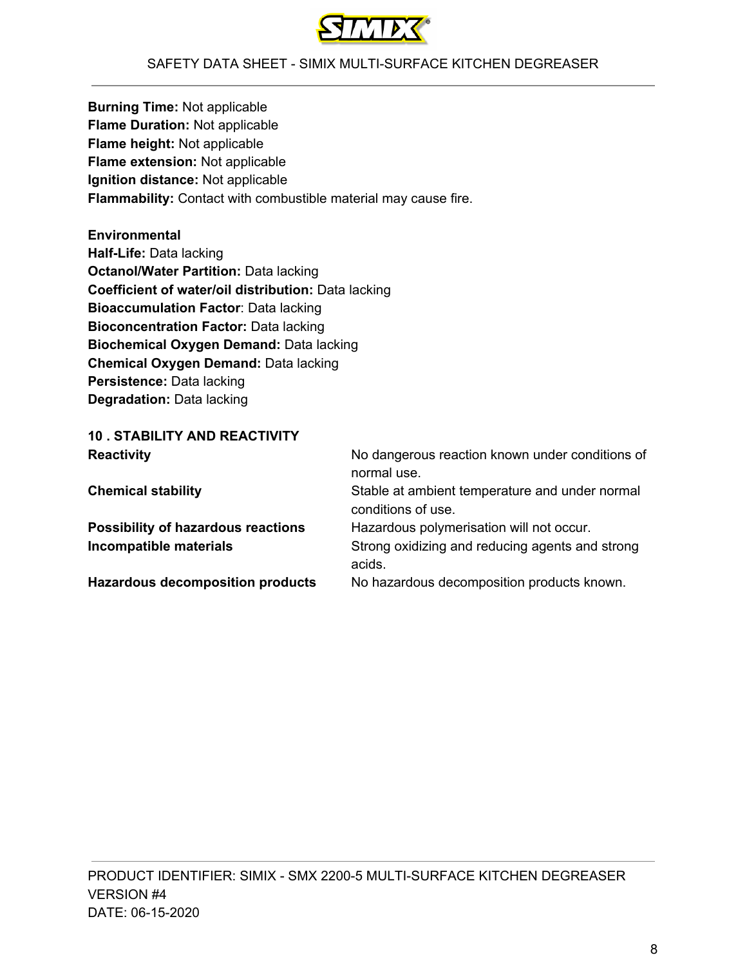

**Burning Time:** Not applicable **Flame Duration:** Not applicable **Flame height:** Not applicable **Flame extension:** Not applicable **Ignition distance:** Not applicable **Flammability:** Contact with combustible material may cause fire.

**Environmental Half-Life:** Data lacking **Octanol/Water Partition:** Data lacking **Coefficient of water/oil distribution:** Data lacking **Bioaccumulation Factor**: Data lacking **Bioconcentration Factor:** Data lacking **Biochemical Oxygen Demand:** Data lacking **Chemical Oxygen Demand:** Data lacking **Persistence:** Data lacking **Degradation:** Data lacking

| <b>10. STABILITY AND REACTIVITY</b>       |                                                                      |
|-------------------------------------------|----------------------------------------------------------------------|
| <b>Reactivity</b>                         | No dangerous reaction known under conditions of<br>normal use.       |
| <b>Chemical stability</b>                 | Stable at ambient temperature and under normal<br>conditions of use. |
| <b>Possibility of hazardous reactions</b> | Hazardous polymerisation will not occur.                             |
| Incompatible materials                    | Strong oxidizing and reducing agents and strong<br>acids.            |
| <b>Hazardous decomposition products</b>   | No hazardous decomposition products known.                           |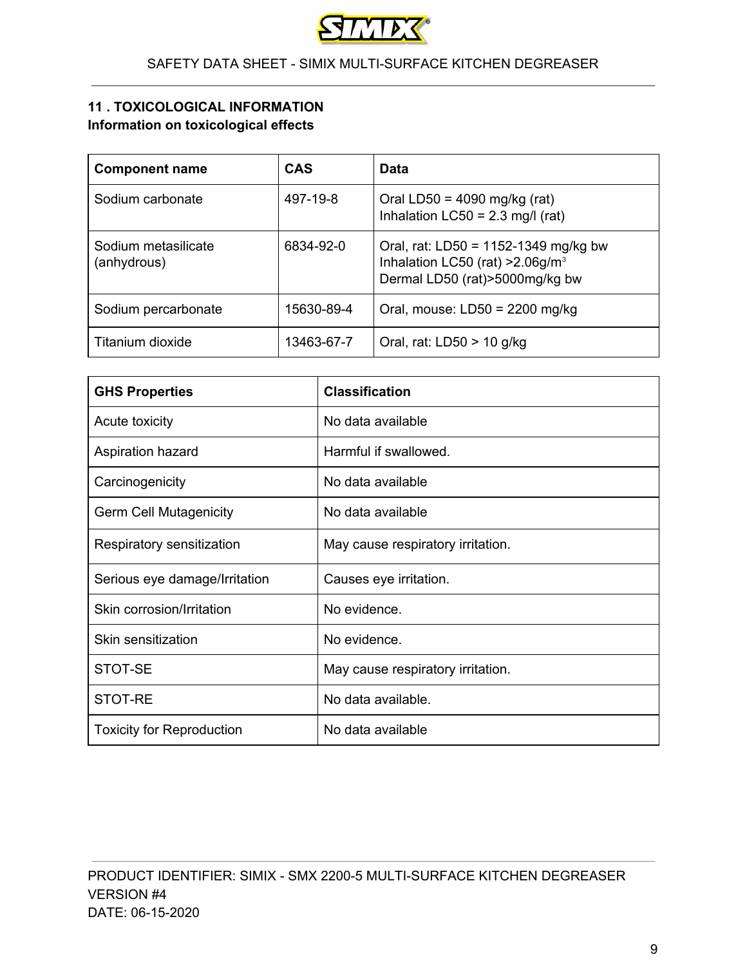

# **11 . TOXICOLOGICAL INFORMATION Information on toxicological effects**

| <b>Component name</b>              | <b>CAS</b> | Data                                                                                                                         |
|------------------------------------|------------|------------------------------------------------------------------------------------------------------------------------------|
| Sodium carbonate                   | 497-19-8   | Oral LD50 = $4090$ mg/kg (rat)<br>Inhalation LC50 = $2.3$ mg/l (rat)                                                         |
| Sodium metasilicate<br>(anhydrous) | 6834-92-0  | Oral, rat: LD50 = $1152-1349$ mg/kg bw<br>Inhalation LC50 (rat) $>2.06$ g/m <sup>3</sup><br>Dermal LD50 (rat) > 5000mg/kg bw |
| Sodium percarbonate                | 15630-89-4 | Oral, mouse: $LD50 = 2200$ mg/kg                                                                                             |
| Titanium dioxide                   | 13463-67-7 | Oral, rat: $LD50 > 10$ g/kg                                                                                                  |

| <b>GHS Properties</b>            | <b>Classification</b>             |
|----------------------------------|-----------------------------------|
| Acute toxicity                   | No data available                 |
| Aspiration hazard                | Harmful if swallowed.             |
| Carcinogenicity                  | No data available                 |
| <b>Germ Cell Mutagenicity</b>    | No data available                 |
| Respiratory sensitization        | May cause respiratory irritation. |
| Serious eye damage/Irritation    | Causes eye irritation.            |
| Skin corrosion/Irritation        | No evidence.                      |
| Skin sensitization               | No evidence.                      |
| STOT-SE                          | May cause respiratory irritation. |
| STOT-RE                          | No data available.                |
| <b>Toxicity for Reproduction</b> | No data available                 |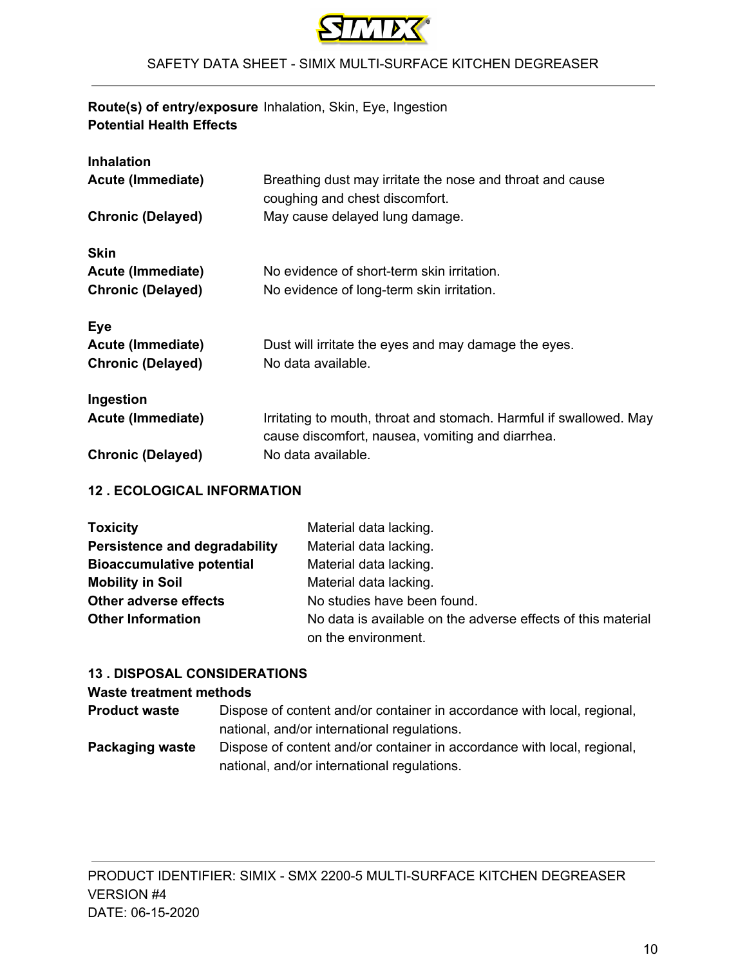

# **Route(s) of entry/exposure** Inhalation, Skin, Eye, Ingestion **Potential Health Effects**

| <b>Inhalation</b>        |                                                                                                                        |
|--------------------------|------------------------------------------------------------------------------------------------------------------------|
| Acute (Immediate)        | Breathing dust may irritate the nose and throat and cause<br>coughing and chest discomfort.                            |
| <b>Chronic (Delayed)</b> | May cause delayed lung damage.                                                                                         |
| <b>Skin</b>              |                                                                                                                        |
| Acute (Immediate)        | No evidence of short-term skin irritation.                                                                             |
| <b>Chronic (Delayed)</b> | No evidence of long-term skin irritation.                                                                              |
| <b>Eye</b>               |                                                                                                                        |
| Acute (Immediate)        | Dust will irritate the eyes and may damage the eyes.                                                                   |
| <b>Chronic (Delayed)</b> | No data available.                                                                                                     |
| Ingestion                |                                                                                                                        |
| Acute (Immediate)        | Irritating to mouth, throat and stomach. Harmful if swallowed. May<br>cause discomfort, nausea, vomiting and diarrhea. |
| <b>Chronic (Delayed)</b> | No data available.                                                                                                     |

# **12 . ECOLOGICAL INFORMATION**

| <b>Toxicity</b>                  | Material data lacking.                                       |
|----------------------------------|--------------------------------------------------------------|
| Persistence and degradability    | Material data lacking.                                       |
| <b>Bioaccumulative potential</b> | Material data lacking.                                       |
| <b>Mobility in Soil</b>          | Material data lacking.                                       |
| <b>Other adverse effects</b>     | No studies have been found.                                  |
| <b>Other Information</b>         | No data is available on the adverse effects of this material |
|                                  | on the environment.                                          |

#### **13 . DISPOSAL CONSIDERATIONS**

#### **Waste treatment methods**

| <b>Product waste</b> | Dispose of content and/or container in accordance with local, regional, |
|----------------------|-------------------------------------------------------------------------|
|                      | national, and/or international regulations.                             |
| Packaging waste      | Dispose of content and/or container in accordance with local, regional, |
|                      | national, and/or international regulations.                             |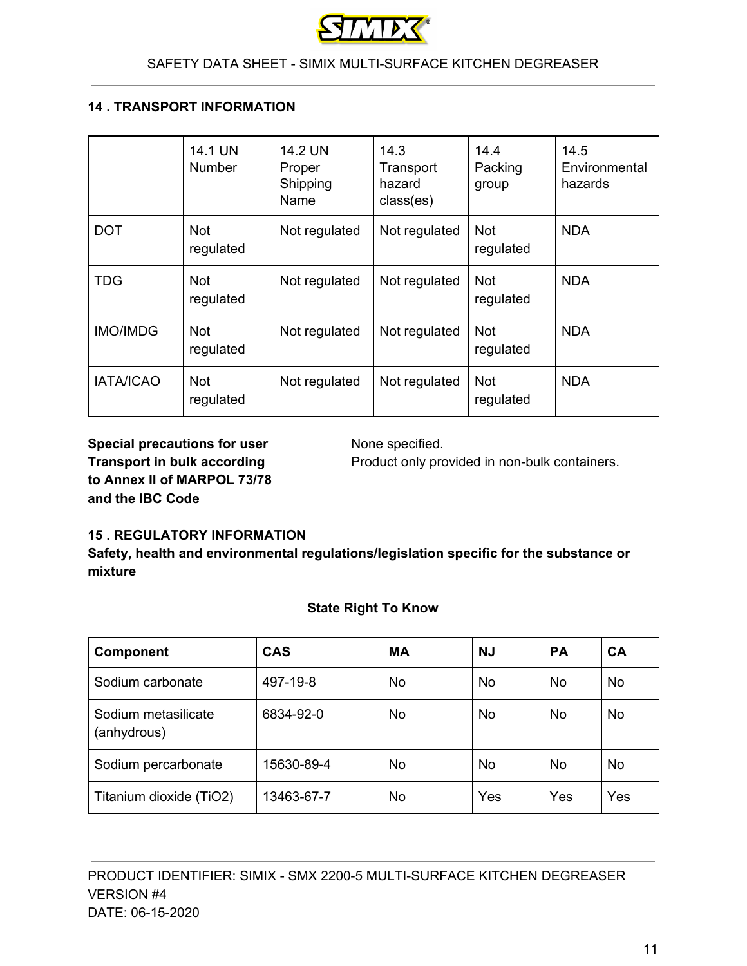

## **14 . TRANSPORT INFORMATION**

|                  | 14.1 UN<br><b>Number</b> | 14.2 UN<br>Proper<br>Shipping<br>Name | 14.3<br>Transport<br>hazard<br>class(es) | 14.4<br>Packing<br>group | 14.5<br>Environmental<br>hazards |
|------------------|--------------------------|---------------------------------------|------------------------------------------|--------------------------|----------------------------------|
| <b>DOT</b>       | <b>Not</b><br>regulated  | Not regulated                         | Not regulated                            | <b>Not</b><br>regulated  | <b>NDA</b>                       |
| <b>TDG</b>       | <b>Not</b><br>regulated  | Not regulated                         | Not regulated                            | <b>Not</b><br>regulated  | <b>NDA</b>                       |
| <b>IMO/IMDG</b>  | <b>Not</b><br>regulated  | Not regulated                         | Not regulated                            | <b>Not</b><br>regulated  | <b>NDA</b>                       |
| <b>IATA/ICAO</b> | <b>Not</b><br>regulated  | Not regulated                         | Not regulated                            | <b>Not</b><br>regulated  | <b>NDA</b>                       |

**Special precautions for user** None specified. **to Annex II of MARPOL 73/78 and the IBC Code**

**Transport in bulk according** Product only provided in non-bulk containers.

#### **15 . REGULATORY INFORMATION**

**Safety, health and environmental regulations/legislation specific for the substance or mixture**

|  |  | <b>State Right To Know</b> |
|--|--|----------------------------|
|--|--|----------------------------|

| <b>Component</b>                   | <b>CAS</b> | <b>MA</b> | <b>NJ</b> | <b>PA</b> | CA        |
|------------------------------------|------------|-----------|-----------|-----------|-----------|
| Sodium carbonate                   | 497-19-8   | No        | No.       | No.       | <b>No</b> |
| Sodium metasilicate<br>(anhydrous) | 6834-92-0  | <b>No</b> | No.       | No.       | <b>No</b> |
| Sodium percarbonate                | 15630-89-4 | No        | No.       | No.       | <b>No</b> |
| Titanium dioxide (TiO2)            | 13463-67-7 | No        | Yes       | Yes       | Yes       |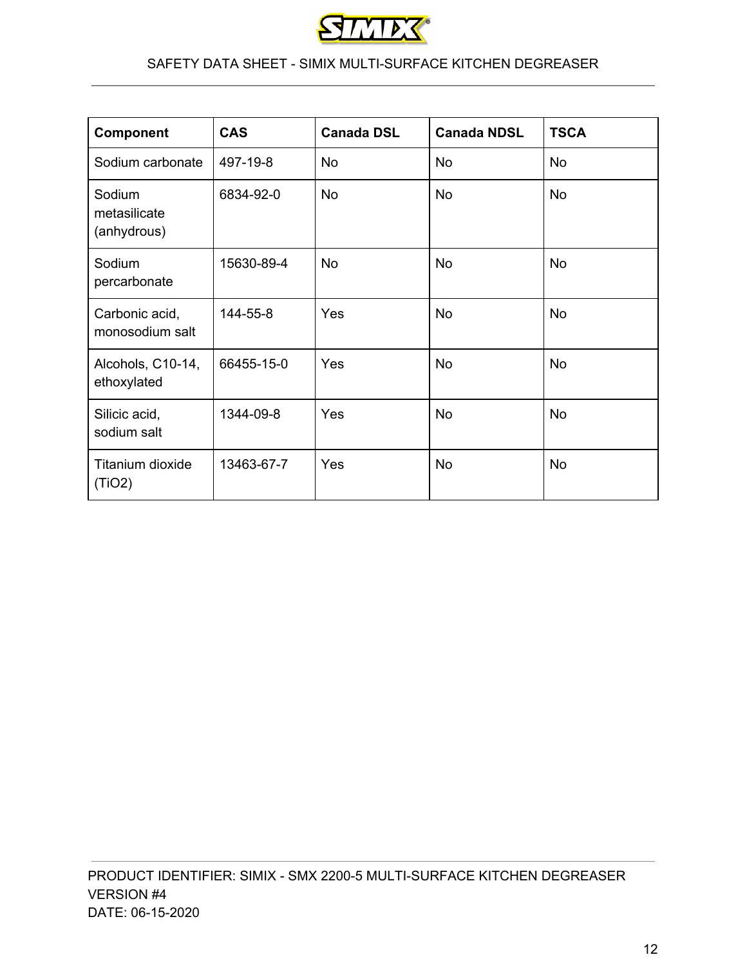

| <b>Component</b>                      | <b>CAS</b> | <b>Canada DSL</b> | <b>Canada NDSL</b> | <b>TSCA</b> |
|---------------------------------------|------------|-------------------|--------------------|-------------|
| Sodium carbonate                      | 497-19-8   | <b>No</b>         | <b>No</b>          | <b>No</b>   |
| Sodium<br>metasilicate<br>(anhydrous) | 6834-92-0  | <b>No</b>         | <b>No</b>          | <b>No</b>   |
| Sodium<br>percarbonate                | 15630-89-4 | <b>No</b>         | <b>No</b>          | <b>No</b>   |
| Carbonic acid,<br>monosodium salt     | 144-55-8   | Yes               | <b>No</b>          | <b>No</b>   |
| Alcohols, C10-14,<br>ethoxylated      | 66455-15-0 | Yes               | <b>No</b>          | <b>No</b>   |
| Silicic acid,<br>sodium salt          | 1344-09-8  | Yes               | <b>No</b>          | <b>No</b>   |
| Titanium dioxide<br>(TIO2)            | 13463-67-7 | Yes               | <b>No</b>          | <b>No</b>   |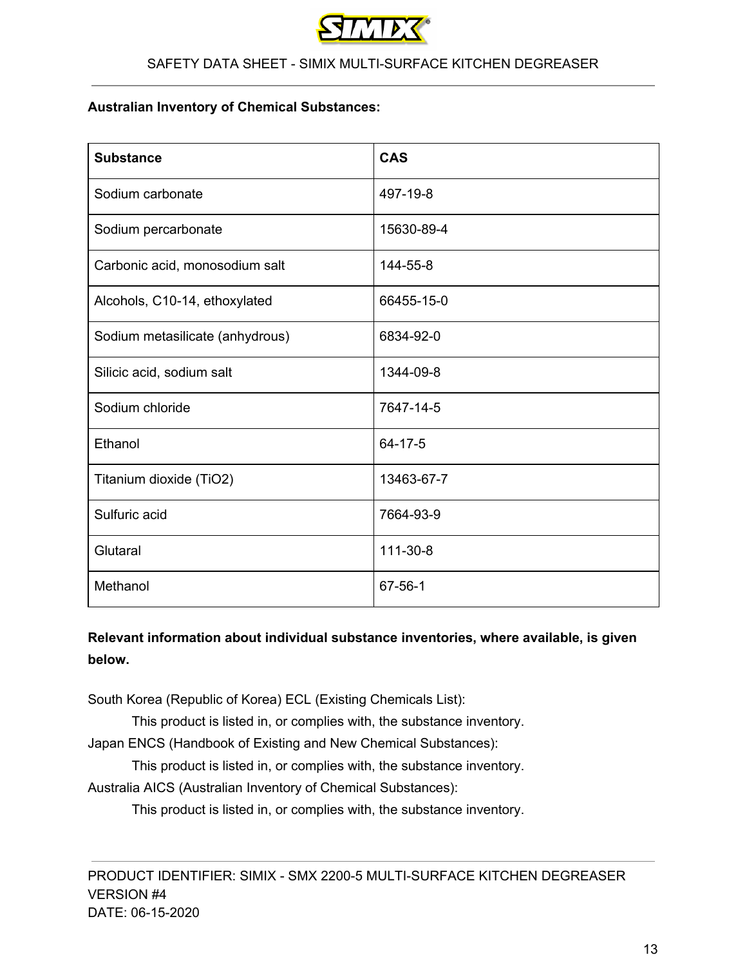

#### **Australian Inventory of Chemical Substances:**

| <b>Substance</b>                | <b>CAS</b>     |
|---------------------------------|----------------|
| Sodium carbonate                | 497-19-8       |
| Sodium percarbonate             | 15630-89-4     |
| Carbonic acid, monosodium salt  | 144-55-8       |
| Alcohols, C10-14, ethoxylated   | 66455-15-0     |
| Sodium metasilicate (anhydrous) | 6834-92-0      |
| Silicic acid, sodium salt       | 1344-09-8      |
| Sodium chloride                 | 7647-14-5      |
| Ethanol                         | $64 - 17 - 5$  |
| Titanium dioxide (TiO2)         | 13463-67-7     |
| Sulfuric acid                   | 7664-93-9      |
| Glutaral                        | $111 - 30 - 8$ |
| Methanol                        | $67 - 56 - 1$  |

# **Relevant information about individual substance inventories, where available, is given below.**

South Korea (Republic of Korea) ECL (Existing Chemicals List):

This product is listed in, or complies with, the substance inventory.

Japan ENCS (Handbook of Existing and New Chemical Substances):

This product is listed in, or complies with, the substance inventory.

Australia AICS (Australian Inventory of Chemical Substances):

This product is listed in, or complies with, the substance inventory.